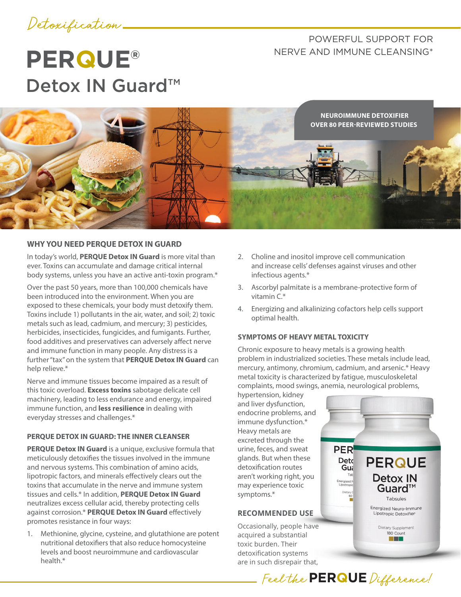## Detoxification

## POWERFUL SUPPORT FOR NERVE AND IMMUNE CLEANSING\*

# **PERQUE®** Detox IN Guard<sup>™</sup>



#### **WHY YOU NEED PERQUE DETOX IN GUARD**

In today's world, **PERQUE Detox IN Guard** is more vital than ever. Toxins can accumulate and damage critical internal body systems, unless you have an active anti-toxin program.\*

Over the past 50 years, more than 100,000 chemicals have been introduced into the environment. When you are exposed to these chemicals, your body must detoxify them. Toxins include 1) pollutants in the air, water, and soil; 2) toxic metals such as lead, cadmium, and mercury; 3) pesticides, herbicides, insecticides, fungicides, and fumigants. Further, food additives and preservatives can adversely affect nerve and immune function in many people. Any distress is a further "tax" on the system that **PERQUE Detox IN Guard** can help relieve.\*

Nerve and immune tissues become impaired as a result of this toxic overload. **Excess toxins** sabotage delicate cell machinery, leading to less endurance and energy, impaired immune function, and **less resilience** in dealing with everyday stresses and challenges.\*

#### **PERQUE DETOX IN GUARD: THE INNER CLEANSER**

**PERQUE Detox IN Guard** is a unique, exclusive formula that meticulously detoxifies the tissues involved in the immune and nervous systems. This combination of amino acids, lipotropic factors, and minerals effectively clears out the toxins that accumulate in the nerve and immune system tissues and cells.\* In addition, **PERQUE Detox IN Guard** neutralizes excess cellular acid, thereby protecting cells against corrosion.\* **PERQUE Detox IN Guard** effectively promotes resistance in four ways:

1. Methionine, glycine, cysteine, and glutathione are potent nutritional detoxifiers that also reduce homocysteine levels and boost neuroimmune and cardiovascular health.\*

- 2. Choline and inositol improve cell communication and increase cells' defenses against viruses and other infectious agents.\*
- 3. Ascorbyl palmitate is a membrane-protective form of vitamin C.\*
- 4. Energizing and alkalinizing cofactors help cells support optimal health.

#### **SYMPTOMS OF HEAVY METAL TOXICITY**

Chronic exposure to heavy metals is a growing health problem in industrialized societies. These metals include lead, mercury, antimony, chromium, cadmium, and arsenic.\* Heavy metal toxicity is characterized by fatigue, musculoskeletal complaints, mood swings, anemia, neurological problems,

Feel the **PERQUE** Difference!

hypertension, kidney and liver dysfunction, endocrine problems, and immune dysfunction.\* Heavy metals are excreted through the urine, feces, and sweat glands. But when these detoxification routes aren't working right, you may experience toxic symptoms.\*

#### **RECOMMENDED USE**

Occasionally, people have acquired a substantial toxic burden. Their detoxification systems are in such disrepair that,